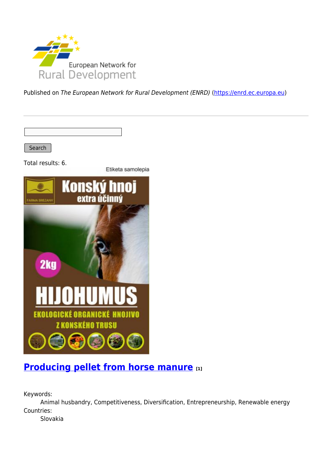

Published on The European Network for Rural Development (ENRD) [\(https://enrd.ec.europa.eu](https://enrd.ec.europa.eu))

Search

Total results: 6.

Etiketa samolepia



### **[Producing pellet from horse manure](https://enrd.ec.europa.eu/projects-practice/producing-pellet-horse-manure_en) [1]**

Keywords:

Animal husbandry, Competitiveness, Diversification, Entrepreneurship, Renewable energy Countries:

Slovakia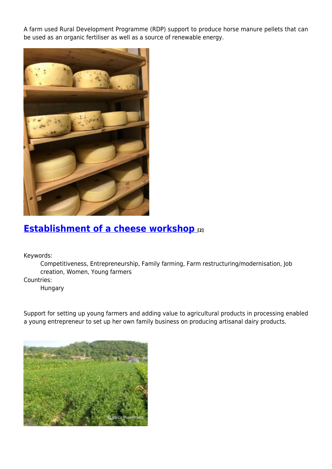A farm used Rural Development Programme (RDP) support to produce horse manure pellets that can be used as an organic fertiliser as well as a source of renewable energy.



#### **[Establishment of a cheese workshop](https://enrd.ec.europa.eu/projects-practice/establishment-cheese-workshop_en) [2]**

Keywords:

Competitiveness, Entrepreneurship, Family farming, Farm restructuring/modernisation, Job creation, Women, Young farmers

Countries:

Hungary

Support for setting up young farmers and adding value to agricultural products in processing enabled a young entrepreneur to set up her own family business on producing artisanal dairy products.

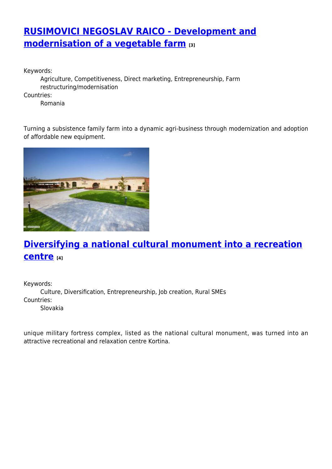## **[RUSIMOVICI NEGOSLAV RAICO - Development and](https://enrd.ec.europa.eu/projects-practice/rusimovici-negoslav-raico-development-and-modernisation-vegetable-farm_en) [modernisation of a vegetable farm](https://enrd.ec.europa.eu/projects-practice/rusimovici-negoslav-raico-development-and-modernisation-vegetable-farm_en) [3]**

Keywords:

Agriculture, Competitiveness, Direct marketing, Entrepreneurship, Farm restructuring/modernisation

Countries:

Romania

Turning a subsistence family farm into a dynamic agri-business through modernization and adoption of affordable new equipment.



# **[Diversifying a national cultural monument into a recreation](https://enrd.ec.europa.eu/projects-practice/diversifying-national-cultural-monument-recreation-centre_en) [centre](https://enrd.ec.europa.eu/projects-practice/diversifying-national-cultural-monument-recreation-centre_en) [4]**

Keywords: Culture, Diversification, Entrepreneurship, Job creation, Rural SMEs Countries: Slovakia

unique military fortress complex, listed as the national cultural monument, was turned into an attractive recreational and relaxation centre Kortina.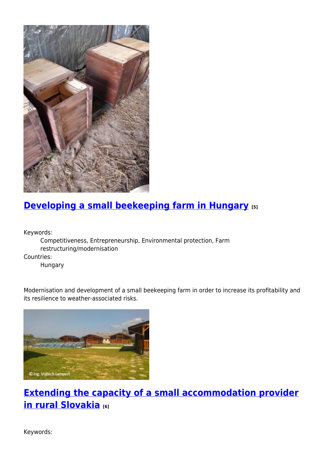

## **[Developing a small beekeeping farm in Hungary](https://enrd.ec.europa.eu/projects-practice/developing-small-beekeeping-farm-hungary_en) [5]**

Keywords:

Competitiveness, Entrepreneurship, Environmental protection, Farm restructuring/modernisation

Countries:

Hungary

Modernisation and development of a small beekeeping farm in order to increase its profitability and its resilience to weather-associated risks.



## **[Extending the capacity of a small accommodation provider](https://enrd.ec.europa.eu/projects-practice/extending-capacity-small-accommodation-provider-rural-slovakia_en) [in rural Slovakia](https://enrd.ec.europa.eu/projects-practice/extending-capacity-small-accommodation-provider-rural-slovakia_en) [6]**

Keywords: